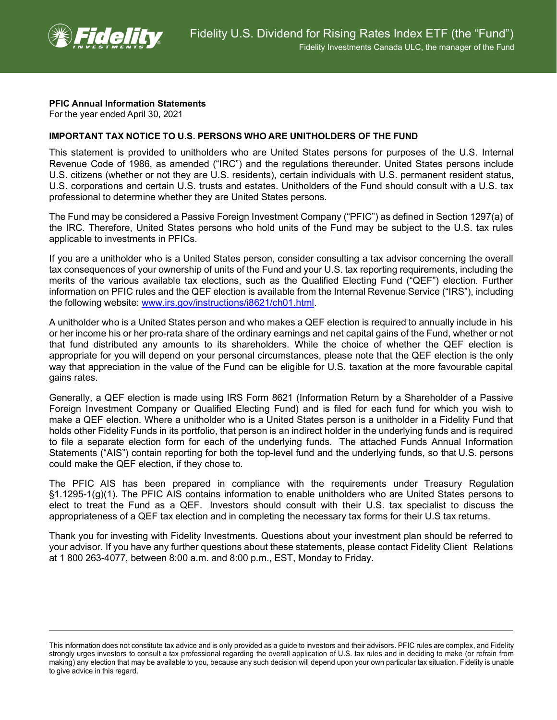

## **PFIC Annual Information Statements**

For the year ended April 30, 2021

## **IMPORTANT TAX NOTICE TO U.S. PERSONS WHO ARE UNITHOLDERS OF THE FUND**

This statement is provided to unitholders who are United States persons for purposes of the U.S. Internal Revenue Code of 1986, as amended ("IRC") and the regulations thereunder. United States persons include U.S. citizens (whether or not they are U.S. residents), certain individuals with U.S. permanent resident status, U.S. corporations and certain U.S. trusts and estates. Unitholders of the Fund should consult with a U.S. tax professional to determine whether they are United States persons.

The Fund may be considered a Passive Foreign Investment Company ("PFIC") as defined in Section 1297(a) of the IRC. Therefore, United States persons who hold units of the Fund may be subject to the U.S. tax rules applicable to investments in PFICs.

If you are a unitholder who is a United States person, consider consulting a tax advisor concerning the overall tax consequences of your ownership of units of the Fund and your U.S. tax reporting requirements, including the merits of the various available tax elections, such as the Qualified Electing Fund ("QEF") election. Further information on PFIC rules and the QEF election is available from the Internal Revenue Service ("IRS"), including the following website: [www.irs.gov/instructions/i8621/ch01.html.](http://www.irs.gov/instructions/i8621/ch01.html)

A unitholder who is a United States person and who makes a QEF election is required to annually include in his or her income his or her pro-rata share of the ordinary earnings and net capital gains of the Fund, whether or not that fund distributed any amounts to its shareholders. While the choice of whether the QEF election is appropriate for you will depend on your personal circumstances, please note that the QEF election is the only way that appreciation in the value of the Fund can be eligible for U.S. taxation at the more favourable capital gains rates.

Generally, a QEF election is made using IRS Form 8621 (Information Return by a Shareholder of a Passive Foreign Investment Company or Qualified Electing Fund) and is filed for each fund for which you wish to make a QEF election. Where a unitholder who is a United States person is a unitholder in a Fidelity Fund that holds other Fidelity Funds in its portfolio, that person is an indirect holder in the underlying funds and is required to file a separate election form for each of the underlying funds. The attached Funds Annual Information Statements ("AIS") contain reporting for both the top-level fund and the underlying funds, so that U.S. persons could make the QEF election, if they chose to.

The PFIC AIS has been prepared in compliance with the requirements under Treasury Regulation §1.1295-1(g)(1). The PFIC AIS contains information to enable unitholders who are United States persons to elect to treat the Fund as a QEF. Investors should consult with their U.S. tax specialist to discuss the appropriateness of a QEF tax election and in completing the necessary tax forms for their U.S tax returns.

Thank you for investing with Fidelity Investments. Questions about your investment plan should be referred to your advisor. If you have any further questions about these statements, please contact Fidelity Client Relations at 1 800 263-4077, between 8:00 a.m. and 8:00 p.m., EST, Monday to Friday.

This information does not constitute tax advice and is only provided as a guide to investors and their advisors. PFIC rules are complex, and Fidelity strongly urges investors to consult a tax professional regarding the overall application of U.S. tax rules and in deciding to make (or refrain from making) any election that may be available to you, because any such decision will depend upon your own particular tax situation. Fidelity is unable to give advice in this regard.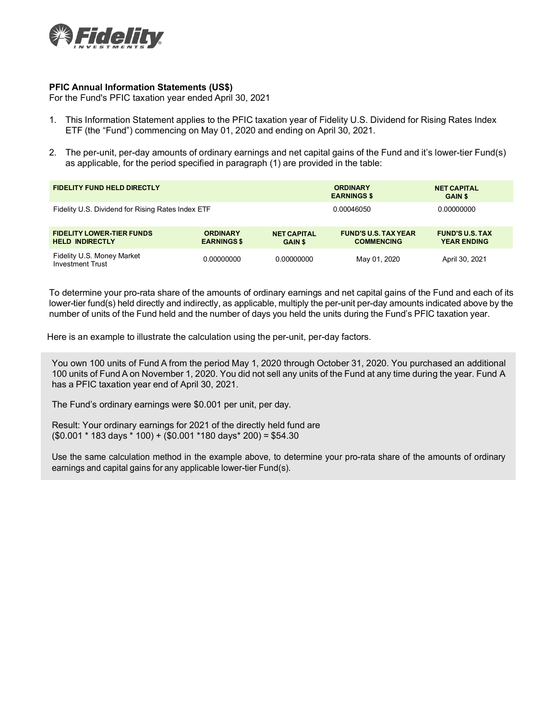

## **PFIC Annual Information Statements (US\$)**

For the Fund's PFIC taxation year ended April 30, 2021

- 1. This Information Statement applies to the PFIC taxation year of Fidelity U.S. Dividend for Rising Rates Index ETF (the "Fund") commencing on May 01, 2020 and ending on April 30, 2021.
- 2. The per-unit, per-day amounts of ordinary earnings and net capital gains of the Fund and it's lower-tier Fund(s) as applicable, for the period specified in paragraph (1) are provided in the table:

| <b>FIDELITY FUND HELD DIRECTLY</b>                         |                                       |                                      | <b>ORDINARY</b><br><b>EARNINGS \$</b>            | <b>NET CAPITAL</b><br><b>GAIN \$</b>         |
|------------------------------------------------------------|---------------------------------------|--------------------------------------|--------------------------------------------------|----------------------------------------------|
| Fidelity U.S. Dividend for Rising Rates Index ETF          |                                       | 0.00046050                           | 0.00000000                                       |                                              |
| <b>FIDELITY LOWER-TIER FUNDS</b><br><b>HELD INDIRECTLY</b> | <b>ORDINARY</b><br><b>EARNINGS \$</b> | <b>NET CAPITAL</b><br><b>GAIN \$</b> | <b>FUND'S U.S. TAX YEAR</b><br><b>COMMENCING</b> | <b>FUND'S U.S. TAX</b><br><b>YEAR ENDING</b> |
| Fidelity U.S. Money Market<br><b>Investment Trust</b>      | 0.00000000                            | 0.00000000                           | May 01, 2020                                     | April 30, 2021                               |

To determine your pro-rata share of the amounts of ordinary earnings and net capital gains of the Fund and each of its lower-tier fund(s) held directly and indirectly, as applicable, multiply the per-unit per-day amounts indicated above by the number of units of the Fund held and the number of days you held the units during the Fund's PFIC taxation year.

Here is an example to illustrate the calculation using the per-unit, per-day factors.

You own 100 units of Fund A from the period May 1, 2020 through October 31, 2020. You purchased an additional 100 units of Fund A on November 1, 2020. You did not sell any units of the Fund at any time during the year. Fund A has a PFIC taxation year end of April 30, 2021.

The Fund's ordinary earnings were \$0.001 per unit, per day.

Result: Your ordinary earnings for 2021 of the directly held fund are  $($0.001 * 183 \text{ days} * 100) + ($0.001 * 180 \text{ days} * 200) = $54.30$ 

Use the same calculation method in the example above, to determine your pro-rata share of the amounts of ordinary earnings and capital gains for any applicable lower-tier Fund(s).